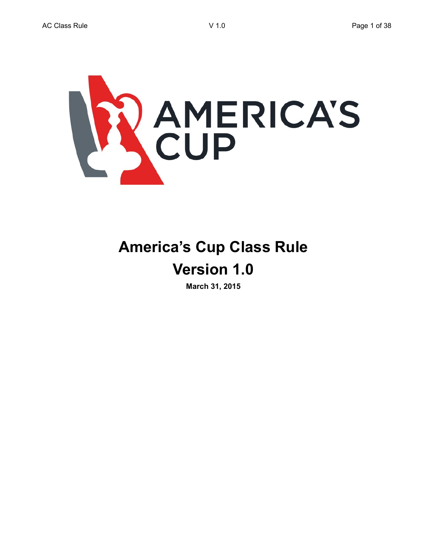

# **America's Cup Class Rule Version 1.0**

**March 31, 2015**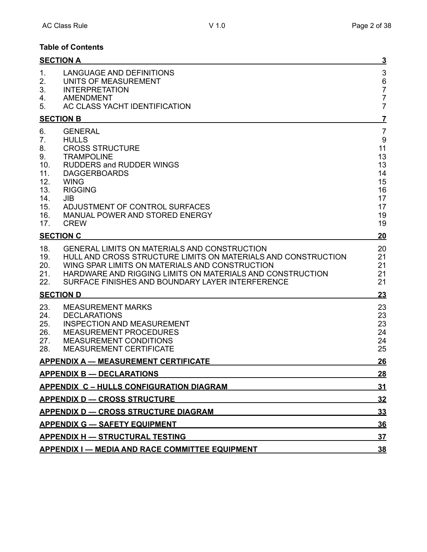# **Table of Contents**

|                                                                              | <b>SECTION A</b>                                                                                                                                                                                                                                                                 | <u>3</u>                                                                        |
|------------------------------------------------------------------------------|----------------------------------------------------------------------------------------------------------------------------------------------------------------------------------------------------------------------------------------------------------------------------------|---------------------------------------------------------------------------------|
| 1.<br>2.<br>3.                                                               | <b>LANGUAGE AND DEFINITIONS</b><br>UNITS OF MEASUREMENT<br><b>INTERPRETATION</b>                                                                                                                                                                                                 | $\sqrt{3}$<br>6<br>7<br>7                                                       |
| 4.<br>5.                                                                     | <b>AMENDMENT</b><br>AC CLASS YACHT IDENTIFICATION                                                                                                                                                                                                                                | $\overline{7}$                                                                  |
|                                                                              | <b>SECTION B</b>                                                                                                                                                                                                                                                                 | <u>7</u>                                                                        |
| 6.<br>7.<br>8.<br>9.<br>10.<br>11.<br>12.<br>13.<br>14.<br>15.<br>16.<br>17. | <b>GENERAL</b><br><b>HULLS</b><br><b>CROSS STRUCTURE</b><br><b>TRAMPOLINE</b><br><b>RUDDERS and RUDDER WINGS</b><br><b>DAGGERBOARDS</b><br><b>WING</b><br><b>RIGGING</b><br>JIB<br>ADJUSTMENT OF CONTROL SURFACES<br>MANUAL POWER AND STORED ENERGY<br><b>CREW</b>               | $\overline{7}$<br>9<br>11<br>13<br>13<br>14<br>15<br>16<br>17<br>17<br>19<br>19 |
|                                                                              | <b>SECTION C</b>                                                                                                                                                                                                                                                                 | 20                                                                              |
| 18.<br>19.<br>20.<br>21.<br>22.                                              | GENERAL LIMITS ON MATERIALS AND CONSTRUCTION<br>HULL AND CROSS STRUCTURE LIMITS ON MATERIALS AND CONSTRUCTION<br>WING SPAR LIMITS ON MATERIALS AND CONSTRUCTION<br>HARDWARE AND RIGGING LIMITS ON MATERIALS AND CONSTRUCTION<br>SURFACE FINISHES AND BOUNDARY LAYER INTERFERENCE | 20<br>21<br>21<br>21<br>21                                                      |
|                                                                              | <b>SECTION D</b>                                                                                                                                                                                                                                                                 | <u>23</u>                                                                       |
| 23.<br>24.<br>25.<br>26.<br>27.<br>28.                                       | <b>MEASUREMENT MARKS</b><br><b>DECLARATIONS</b><br><b>INSPECTION AND MEASUREMENT</b><br><b>MEASUREMENT PROCEDURES</b><br><b>MEASUREMENT CONDITIONS</b><br><b>MEASUREMENT CERTIFICATE</b>                                                                                         | 23<br>23<br>23<br>24<br>24<br>25                                                |
|                                                                              | <b>APPENDIX A - MEASUREMENT CERTIFICATE</b>                                                                                                                                                                                                                                      | <u>26</u>                                                                       |
|                                                                              | <b>APPENDIX B - DECLARATIONS</b>                                                                                                                                                                                                                                                 | <u>28</u>                                                                       |
|                                                                              | <b>APPENDIX C - HULLS CONFIGURATION DIAGRAM</b>                                                                                                                                                                                                                                  | 31                                                                              |
|                                                                              | <b>APPENDIX D - CROSS STRUCTURE</b><br><b>APPENDIX D - CROSS STRUCTURE DIAGRAM</b>                                                                                                                                                                                               | <u>32</u><br><u>33</u>                                                          |
|                                                                              | <b>APPENDIX G - SAFETY EQUIPMENT</b>                                                                                                                                                                                                                                             | <u>36</u>                                                                       |
|                                                                              | <b>APPENDIX H - STRUCTURAL TESTING</b>                                                                                                                                                                                                                                           | <u>37</u>                                                                       |
|                                                                              | <b>APPENDIX I — MEDIA AND RACE COMMITTEE EQUIPMENT</b>                                                                                                                                                                                                                           | <u>38</u>                                                                       |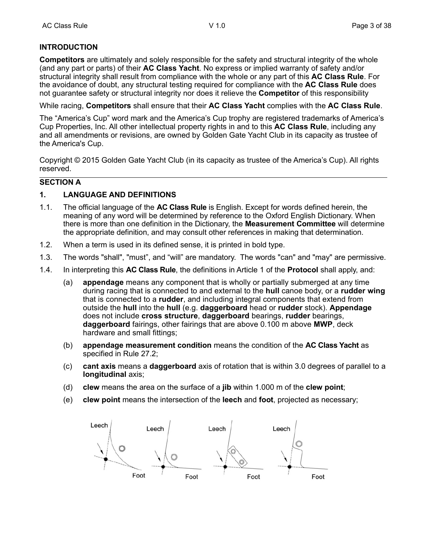# **INTRODUCTION**

**Competitors** are ultimately and solely responsible for the safety and structural integrity of the whole (and any part or parts) of their **AC Class Yacht**. No express or implied warranty of safety and/or structural integrity shall result from compliance with the whole or any part of this **AC Class Rule**. For the avoidance of doubt, any structural testing required for compliance with the **AC Class Rule** does not guarantee safety or structural integrity nor does it relieve the **Competitor** of this responsibility

While racing, **Competitors** shall ensure that their **AC Class Yacht** complies with the **AC Class Rule**.

The "America's Cup" word mark and the America's Cup trophy are registered trademarks of America's Cup Properties, Inc. All other intellectual property rights in and to this **AC Class Rule**, including any and all amendments or revisions, are owned by Golden Gate Yacht Club in its capacity as trustee of the America's Cup.

Copyright © 2015 Golden Gate Yacht Club (in its capacity as trustee of the America's Cup). All rights reserved.

#### **SECTION A**

## **1. LANGUAGE AND DEFINITIONS**

- 1.1. The official language of the **AC Class Rule** is English. Except for words defined herein, the meaning of any word will be determined by reference to the Oxford English Dictionary. When there is more than one definition in the Dictionary, the **Measurement Committee** will determine the appropriate definition, and may consult other references in making that determination.
- 1.2. When a term is used in its defined sense, it is printed in bold type.
- 1.3. The words "shall", "must", and "will" are mandatory. The words "can" and "may" are permissive.
- 1.4. In interpreting this **AC Class Rule**, the definitions in Article 1 of the **Protocol** shall apply, and:
	- (a) **appendage** means any component that is wholly or partially submerged at any time during racing that is connected to and external to the **hull** canoe body, or a **rudder wing** that is connected to a **rudder**, and including integral components that extend from outside the **hull** into the **hull** (e.g. **daggerboard** head or **rudder** stock). **Appendage** does not include **cross structure**, **daggerboard** bearings, **rudder** bearings, **daggerboard** fairings, other fairings that are above 0.100 m above **MWP**, deck hardware and small fittings;
	- (b) **appendage measurement condition** means the condition of the **AC Class Yacht** as specified in Rule 27.2;
	- (c) **cant axis** means a **daggerboard** axis of rotation that is within 3.0 degrees of parallel to a **longitudinal** axis;
	- (d) **clew** means the area on the surface of a **jib** within 1.000 m of the **clew point**;
	- (e) **clew point** means the intersection of the **leech** and **foot**, projected as necessary;

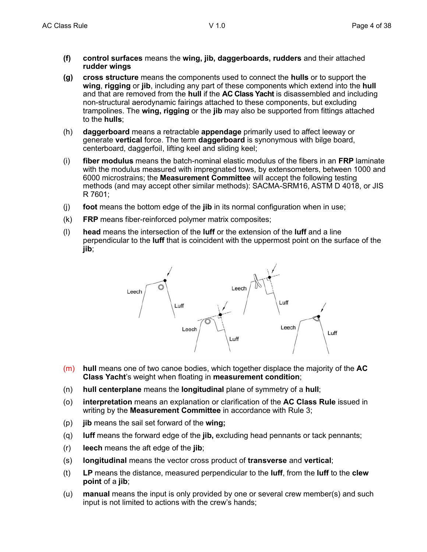- **(f) control surfaces** means the **wing, jib, daggerboards, rudders** and their attached **rudder wings**
- **(g) cross structure** means the components used to connect the **hulls** or to support the **wing**, **rigging** or **jib**, including any part of these components which extend into the **hull** and that are removed from the **hull** if the **AC Class Yacht** is disassembled and including non-structural aerodynamic fairings attached to these components, but excluding trampolines. The **wing, rigging** or the **jib** may also be supported from fittings attached to the **hulls**;
- (h) **daggerboard** means a retractable **appendage** primarily used to affect leeway or generate **vertical** force. The term **daggerboard** is synonymous with bilge board, centerboard, daggerfoil, lifting keel and sliding keel;
- (i) **fiber modulus** means the batch-nominal elastic modulus of the fibers in an **FRP** laminate with the modulus measured with impregnated tows, by extensometers, between 1000 and 6000 microstrains; the **Measurement Committee** will accept the following testing methods (and may accept other similar methods): SACMA-SRM16, ASTM D 4018, or JIS R 7601;
- (j) **foot** means the bottom edge of the **jib** in its normal configuration when in use;
- (k) **FRP** means fiber-reinforced polymer matrix composites;
- (l) **head** means the intersection of the **luff** or the extension of the **luff** and a line perpendicular to the **luff** that is coincident with the uppermost point on the surface of the **jib**;



- (m) **hull** means one of two canoe bodies, which together displace the majority of the **AC Class Yacht**'s weight when floating in **measurement condition**;
- (n) **hull centerplane** means the **longitudinal** plane of symmetry of a **hull**;
- (o) **interpretation** means an explanation or clarification of the **AC Class Rule** issued in writing by the **Measurement Committee** in accordance with Rule 3;
- (p) **jib** means the sail set forward of the **wing;**
- (q) **luff** means the forward edge of the **jib,** excluding head pennants or tack pennants;
- (r) **leech** means the aft edge of the **jib**;
- (s) **longitudinal** means the vector cross product of **transverse** and **vertical**;
- (t) **LP** means the distance, measured perpendicular to the **luff**, from the **luff** to the **clew point** of a **jib**;
- (u) **manual** means the input is only provided by one or several crew member(s) and such input is not limited to actions with the crew's hands;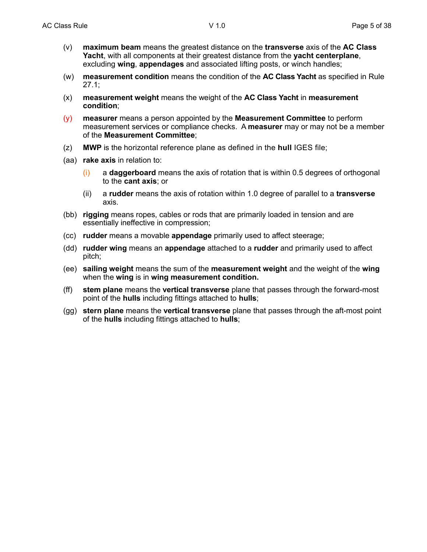- (v) **maximum beam** means the greatest distance on the **transverse** axis of the **AC Class Yacht**, with all components at their greatest distance from the **yacht centerplane**, excluding **wing**, **appendages** and associated lifting posts, or winch handles;
- (w) **measurement condition** means the condition of the **AC Class Yacht** as specified in Rule 27.1;
- (x) **measurement weight** means the weight of the **AC Class Yacht** in **measurement condition**;
- (y) **measurer** means a person appointed by the **Measurement Committee** to perform measurement services or compliance checks. A **measurer** may or may not be a member of the **Measurement Committee**;
- (z) **MWP** is the horizontal reference plane as defined in the **hull** IGES file;
- (aa) **rake axis** in relation to:
	- (i) a **daggerboard** means the axis of rotation that is within 0.5 degrees of orthogonal to the **cant axis**; or
	- (ii) a **rudder** means the axis of rotation within 1.0 degree of parallel to a **transverse**  axis.
- (bb) **rigging** means ropes, cables or rods that are primarily loaded in tension and are essentially ineffective in compression;
- (cc) **rudder** means a movable **appendage** primarily used to affect steerage;
- (dd) **rudder wing** means an **appendage** attached to a **rudder** and primarily used to affect pitch;
- (ee) **sailing weight** means the sum of the **measurement weight** and the weight of the **wing** when the **wing** is in **wing measurement condition.**
- (ff) **stem plane** means the **vertical transverse** plane that passes through the forward-most point of the **hulls** including fittings attached to **hulls**;
- (gg) **stern plane** means the **vertical transverse** plane that passes through the aft-most point of the **hulls** including fittings attached to **hulls**;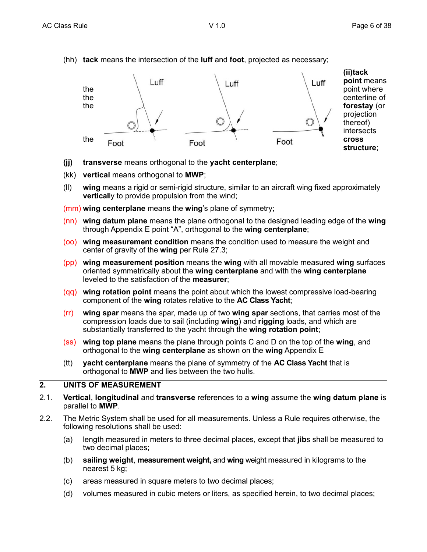(hh) **tack** means the intersection of the **luff** and **foot**, projected as necessary;



- **(jj) transverse** means orthogonal to the **yacht centerplane**;
- (kk) **vertical** means orthogonal to **MWP**;
- (ll) **wing** means a rigid or semi-rigid structure, similar to an aircraft wing fixed approximately **vertical**ly to provide propulsion from the wind;

(mm) **wing centerplane** means the **wing**'s plane of symmetry;

- (nn) **wing datum plane** means the plane orthogonal to the designed leading edge of the **wing** through Appendix E point "A", orthogonal to the **wing centerplane**;
- (oo) **wing measurement condition** means the condition used to measure the weight and center of gravity of the **wing** per Rule 27.3;
- (pp) **wing measurement position** means the **wing** with all movable measured **wing** surfaces oriented symmetrically about the **wing centerplane** and with the **wing centerplane** leveled to the satisfaction of the **measurer**;
- (qq) **wing rotation point** means the point about which the lowest compressive load-bearing component of the **wing** rotates relative to the **AC Class Yacht**;
- (rr) **wing spar** means the spar, made up of two **wing spar** sections, that carries most of the compression loads due to sail (including **wing**) and **rigging** loads, and which are substantially transferred to the yacht through the **wing rotation point**;
- (ss) **wing top plane** means the plane through points C and D on the top of the **wing**, and orthogonal to the **wing centerplane** as shown on the **wing** Appendix E
- (tt) **yacht centerplane** means the plane of symmetry of the **AC Class Yacht** that is orthogonal to **MWP** and lies between the two hulls.

# **2. UNITS OF MEASUREMENT**

- 2.1. **Vertical**, **longitudinal** and **transverse** references to a **wing** assume the **wing datum plane** is parallel to **MWP**.
- 2.2. The Metric System shall be used for all measurements. Unless a Rule requires otherwise, the following resolutions shall be used:
	- (a) length measured in meters to three decimal places, except that **jib**s shall be measured to two decimal places;
	- (b) **sailing weight**, **measurement weight,** and **wing** weight measured in kilograms to the nearest 5 kg;
	- (c) areas measured in square meters to two decimal places;
	- (d) volumes measured in cubic meters or liters, as specified herein, to two decimal places;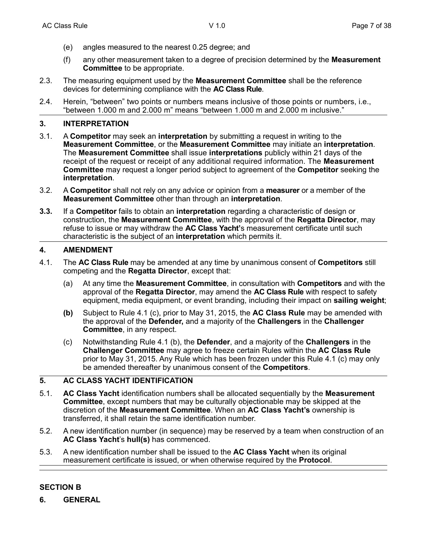- (e) angles measured to the nearest 0.25 degree; and
- (f) any other measurement taken to a degree of precision determined by the **Measurement Committee** to be appropriate.
- 2.3. The measuring equipment used by the **Measurement Committee** shall be the reference devices for determining compliance with the **AC Class Rule**.
- 2.4. Herein, "between" two points or numbers means inclusive of those points or numbers, i.e., "between 1.000 m and 2.000 m" means "between 1.000 m and 2.000 m inclusive."

#### **3. INTERPRETATION**

- 3.1. A **Competitor** may seek an **interpretation** by submitting a request in writing to the **Measurement Committee**, or the **Measurement Committee** may initiate an **interpretation**. The **Measurement Committee** shall issue **interpretations** publicly within 21 days of the receipt of the request or receipt of any additional required information. The **Measurement Committee** may request a longer period subject to agreement of the **Competitor** seeking the **interpretation**.
- 3.2. A **Competitor** shall not rely on any advice or opinion from a **measurer** or a member of the **Measurement Committee** other than through an **interpretation**.
- **3.3.** If a **Competitor** fails to obtain an **interpretation** regarding a characteristic of design or construction, the **Measurement Committee**, with the approval of the **Regatta Director**, may refuse to issue or may withdraw the **AC Class Yacht'**s measurement certificate until such characteristic is the subject of an **interpretation** which permits it.

#### **4. AMENDMENT**

- 4.1. The **AC Class Rule** may be amended at any time by unanimous consent of **Competitors** still competing and the **Regatta Director**, except that:
	- (a) At any time the **Measurement Committee**, in consultation with **Competitors** and with the approval of the **Regatta Director**, may amend the **AC Class Rule** with respect to safety equipment, media equipment, or event branding, including their impact on **sailing weight**;
	- **(b)** Subject to Rule 4.1 (c), prior to May 31, 2015, the **AC Class Rule** may be amended with the approval of the **Defender,** and a majority of the **Challengers** in the **Challenger Committee**, in any respect.
	- (c) Notwithstanding Rule 4.1 (b), the **Defender**, and a majority of the **Challengers** in the **Challenger Committee** may agree to freeze certain Rules within the **AC Class Rule** prior to May 31, 2015. Any Rule which has been frozen under this Rule 4.1 (c) may only be amended thereafter by unanimous consent of the **Competitors**.

## **5. AC CLASS YACHT IDENTIFICATION**

- 5.1. **AC Class Yacht** identification numbers shall be allocated sequentially by the **Measurement Committee**, except numbers that may be culturally objectionable may be skipped at the discretion of the **Measurement Committee**. When an **AC Class Yacht's** ownership is transferred, it shall retain the same identification number.
- 5.2. A new identification number (in sequence) may be reserved by a team when construction of an **AC Class Yacht**'s **hull(s)** has commenced.
- 5.3. A new identification number shall be issued to the **AC Class Yacht** when its original measurement certificate is issued, or when otherwise required by the **Protocol**.

## **SECTION B**

**6. GENERAL**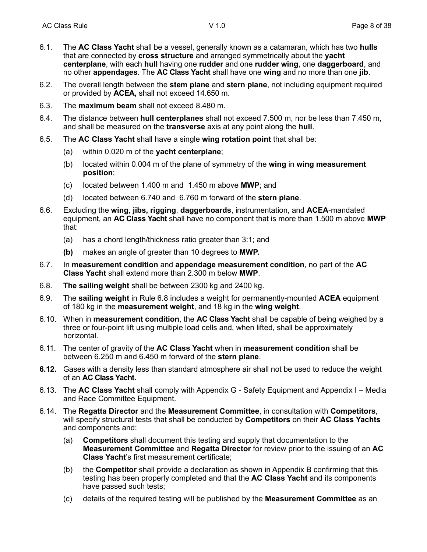- 6.1. The **AC Class Yacht** shall be a vessel, generally known as a catamaran, which has two **hulls** that are connected by **cross structure** and arranged symmetrically about the **yacht centerplane**, with each **hull** having one **rudder** and one **rudder wing**, one **daggerboard**, and no other **appendages**. The **AC Class Yacht** shall have one **wing** and no more than one **jib**.
- 6.2. The overall length between the **stem plane** and **stern plane**, not including equipment required or provided by **ACEA,** shall not exceed 14.650 m.
- 6.3. The **maximum beam** shall not exceed 8.480 m.
- 6.4. The distance between **hull centerplanes** shall not exceed 7.500 m, nor be less than 7.450 m, and shall be measured on the **transverse** axis at any point along the **hull**.
- 6.5. The **AC Class Yacht** shall have a single **wing rotation point** that shall be:
	- (a) within 0.020 m of the **yacht centerplane**;
	- (b) located within 0.004 m of the plane of symmetry of the **wing** in **wing measurement position**;
	- (c) located between 1.400 m and 1.450 m above **MWP**; and
	- (d) located between 6.740 and 6.760 m forward of the **stern plane**.
- 6.6. Excluding the **wing**, **jibs, rigging**, **daggerboards**, instrumentation, and **ACEA**-mandated equipment, an **AC Class Yacht** shall have no component that is more than 1.500 m above **MWP** that:
	- (a) has a chord length/thickness ratio greater than 3:1; and
	- **(b)** makes an angle of greater than 10 degrees to **MWP.**
- 6.7. In **measurement condition** and **appendage measurement condition**, no part of the **AC Class Yacht** shall extend more than 2.300 m below **MWP**.
- 6.8. **The sailing weight** shall be between 2300 kg and 2400 kg.
- 6.9. The **sailing weight** in Rule 6.8 includes a weight for permanently-mounted **ACEA** equipment of 180 kg in the **measurement weight**, and 18 kg in the **wing weight**.
- 6.10. When in **measurement condition**, the **AC Class Yacht** shall be capable of being weighed by a three or four-point lift using multiple load cells and, when lifted, shall be approximately horizontal.
- 6.11. The center of gravity of the **AC Class Yacht** when in **measurement condition** shall be between 6.250 m and 6.450 m forward of the **stern plane**.
- **6.12.** Gases with a density less than standard atmosphere air shall not be used to reduce the weight of an **AC Class Yacht.**
- 6.13. The **AC Class Yacht** shall comply with Appendix G Safety Equipment and Appendix I Media and Race Committee Equipment.
- 6.14. The **Regatta Director** and the **Measurement Committee**, in consultation with **Competitors**, will specify structural tests that shall be conducted by **Competitors** on their **AC Class Yachts** and components and:
	- (a) **Competitors** shall document this testing and supply that documentation to the **Measurement Committee** and **Regatta Director** for review prior to the issuing of an **AC Class Yacht**'s first measurement certificate;
	- (b) the **Competitor** shall provide a declaration as shown in Appendix B confirming that this testing has been properly completed and that the **AC Class Yacht** and its components have passed such tests;
	- (c) details of the required testing will be published by the **Measurement Committee** as an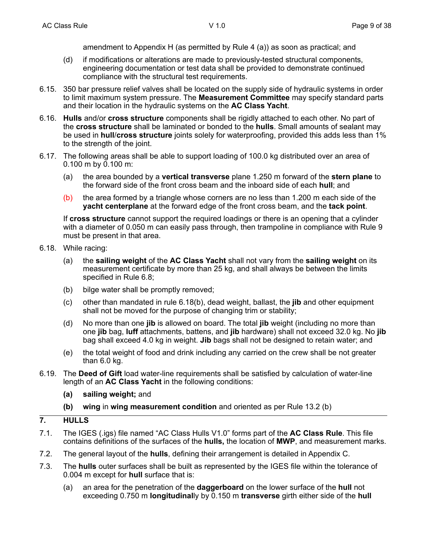amendment to Appendix H (as permitted by Rule 4 (a)) as soon as practical; and

- (d) if modifications or alterations are made to previously-tested structural components, engineering documentation or test data shall be provided to demonstrate continued compliance with the structural test requirements.
- 6.15. 350 bar pressure relief valves shall be located on the supply side of hydraulic systems in order to limit maximum system pressure. The **Measurement Committee** may specify standard parts and their location in the hydraulic systems on the **AC Class Yacht**.
- 6.16. **Hulls** and/or **cross structure** components shall be rigidly attached to each other. No part of the **cross structure** shall be laminated or bonded to the **hulls**. Small amounts of sealant may be used in **hull**/**cross structure** joints solely for waterproofing, provided this adds less than 1% to the strength of the joint.
- 6.17. The following areas shall be able to support loading of 100.0 kg distributed over an area of 0.100 m by 0.100 m:
	- (a) the area bounded by a **vertical transverse** plane 1.250 m forward of the **stern plane** to the forward side of the front cross beam and the inboard side of each **hull**; and
	- (b) the area formed by a triangle whose corners are no less than 1.200 m each side of the **yacht centerplane** at the forward edge of the front cross beam, and the **tack point**.

If **cross structure** cannot support the required loadings or there is an opening that a cylinder with a diameter of 0.050 m can easily pass through, then trampoline in compliance with Rule 9 must be present in that area.

- 6.18. While racing:
	- (a) the **sailing weight** of the **AC Class Yacht** shall not vary from the **sailing weight** on its measurement certificate by more than 25 kg, and shall always be between the limits specified in Rule 6.8;
	- (b) bilge water shall be promptly removed;
	- (c) other than mandated in rule 6.18(b), dead weight, ballast, the **jib** and other equipment shall not be moved for the purpose of changing trim or stability;
	- (d) No more than one **jib** is allowed on board. The total **jib** weight (including no more than one **jib** bag, **luff** attachments, battens, and **jib** hardware) shall not exceed 32.0 kg. No **jib** bag shall exceed 4.0 kg in weight. **Jib** bags shall not be designed to retain water; and
	- (e) the total weight of food and drink including any carried on the crew shall be not greater than 6.0 kg.
- 6.19. The **Deed of Gift** load water-line requirements shall be satisfied by calculation of water-line length of an **AC Class Yacht** in the following conditions:
	- **(a) sailing weight;** and
	- **(b) wing** in **wing measurement condition** and oriented as per Rule 13.2 (b)
- **7. HULLS**
- 7.1. The IGES (.igs) file named "AC Class Hulls V1.0" forms part of the **AC Class Rule**. This file contains definitions of the surfaces of the **hulls,** the location of **MWP**, and measurement marks.
- 7.2. The general layout of the **hulls**, defining their arrangement is detailed in Appendix C.
- 7.3. The **hulls** outer surfaces shall be built as represented by the IGES file within the tolerance of 0.004 m except for **hull** surface that is:
	- (a) an area for the penetration of the **daggerboard** on the lower surface of the **hull** not exceeding 0.750 m **longitudinal**ly by 0.150 m **transverse** girth either side of the **hull**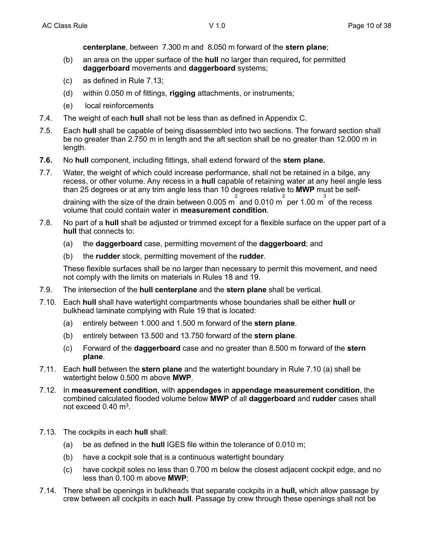**centerplane**, between 7.300 m and 8.050 m forward of the **stern plane**;

- (b) an area on the upper surface of the **hull** no larger than required**,** for permitted **daggerboard** movements and **daggerboard** systems;
- (c) as defined in Rule 7.13;
- (d) within 0.050 m of fittings, **rigging** attachments, or instruments;
- (e) local reinforcements
- 7.4. The weight of each **hull** shall not be less than as defined in Appendix C.
- 7.5. Each **hull** shall be capable of being disassembled into two sections. The forward section shall be no greater than 2.750 m in length and the aft section shall be no greater than 12.000 m in length.
- **7.6.** No **hull** component, including fittings, shall extend forward of the **stem plane.**
- 7.7. Water, the weight of which could increase performance, shall not be retained in a bilge, any recess, or other volume. Any recess in a **hull** capable of retaining water at any heel angle less than 25 degrees or at any trim angle less than 10 degrees relative to **MWP** must be self-

draining with the size of the drain between 0.005 m<sup>2</sup> and 0.010 m<sup>2</sup> per 1.00 m<sup>3</sup> of the recess volume that could contain water in **measurement condition**.

- 7.8. No part of a **hull** shall be adjusted or trimmed except for a flexible surface on the upper part of a **hull** that connects to:
	- (a) the **daggerboard** case, permitting movement of the **daggerboard**; and
	- (b) the **rudder** stock, permitting movement of the **rudder**.

These flexible surfaces shall be no larger than necessary to permit this movement, and need not comply with the limits on materials in Rules 18 and 19.

- 7.9. The intersection of the **hull centerplane** and the **stern plane** shall be vertical.
- 7.10. Each **hull** shall have watertight compartments whose boundaries shall be either **hull** or bulkhead laminate complying with Rule 19 that is located:
	- (a) entirely between 1.000 and 1.500 m forward of the **stern plane**.
	- (b) entirely between 13.500 and 13.750 forward of the **stern plane**.
	- (c) Forward of the **daggerboard** case and no greater than 8.500 m forward of the **stern plane**.
- 7.11. Each **hull** between the **stern plane** and the watertight boundary in Rule 7.10 (a) shall be watertight below 0.500 m above **MWP**.
- 7.12. In **measurement condition**, with **appendages** in **appendage measurement condition**, the combined calculated flooded volume below **MWP** of all **daggerboard** and **rudder** cases shall not exceed  $0.40 \text{ m}^3$ .
- 7.13. The cockpits in each **hull** shall:
	- (a) be as defined in the **hull** IGES file within the tolerance of 0.010 m;
	- (b) have a cockpit sole that is a continuous watertight boundary
	- (c) have cockpit soles no less than 0.700 m below the closest adjacent cockpit edge, and no less than 0.100 m above **MWP**;
- 7.14. There shall be openings in bulkheads that separate cockpits in a **hull,** which allow passage by crew between all cockpits in each **hull**. Passage by crew through these openings shall not be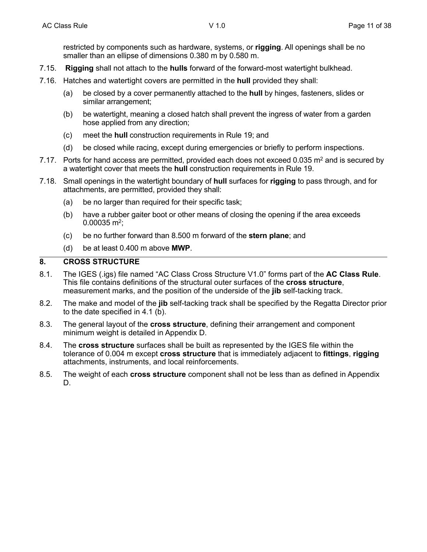restricted by components such as hardware, systems, or **rigging**. All openings shall be no smaller than an ellipse of dimensions 0.380 m by 0.580 m.

- 7.15. **Rigging** shall not attach to the **hulls** forward of the forward-most watertight bulkhead.
- 7.16. Hatches and watertight covers are permitted in the **hull** provided they shall:
	- (a) be closed by a cover permanently attached to the **hull** by hinges, fasteners, slides or similar arrangement;
	- (b) be watertight, meaning a closed hatch shall prevent the ingress of water from a garden hose applied from any direction;
	- (c) meet the **hull** construction requirements in Rule 19; and
	- (d) be closed while racing, except during emergencies or briefly to perform inspections.
- 7.17. Ports for hand access are permitted, provided each does not exceed 0.035 m<sup>2</sup> and is secured by a watertight cover that meets the **hull** construction requirements in Rule 19.
- 7.18. Small openings in the watertight boundary of **hull** surfaces for **rigging** to pass through, and for attachments, are permitted, provided they shall:
	- (a) be no larger than required for their specific task;
	- (b) have a rubber gaiter boot or other means of closing the opening if the area exceeds  $0.00035$  m<sup>2</sup>;
	- (c) be no further forward than 8.500 m forward of the **stern plane**; and
	- (d) be at least 0.400 m above **MWP**.

## **8. CROSS STRUCTURE**

- 8.1. The IGES (.igs) file named "AC Class Cross Structure V1.0" forms part of the **AC Class Rule**. This file contains definitions of the structural outer surfaces of the **cross structure**, measurement marks, and the position of the underside of the **jib** self-tacking track.
- 8.2. The make and model of the **jib** self-tacking track shall be specified by the Regatta Director prior to the date specified in 4.1 (b).
- 8.3. The general layout of the **cross structure**, defining their arrangement and component minimum weight is detailed in Appendix D.
- 8.4. The **cross structure** surfaces shall be built as represented by the IGES file within the tolerance of 0.004 m except **cross structure** that is immediately adjacent to **fittings**, **rigging** attachments, instruments, and local reinforcements.
- 8.5. The weight of each **cross structure** component shall not be less than as defined in Appendix D.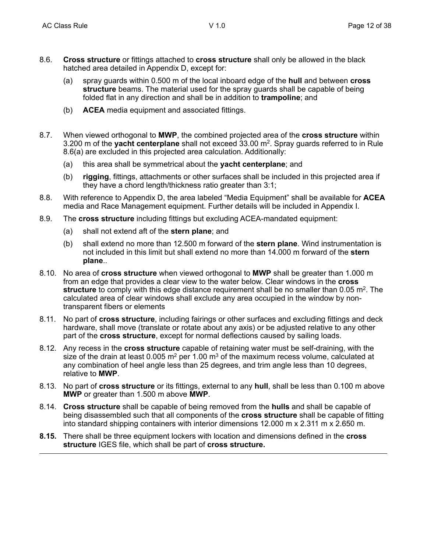- 8.6. **Cross structure** or fittings attached to **cross structure** shall only be allowed in the black hatched area detailed in Appendix D, except for:
	- (a) spray guards within 0.500 m of the local inboard edge of the **hull** and between **cross structure** beams. The material used for the spray guards shall be capable of being folded flat in any direction and shall be in addition to **trampoline**; and
	- (b) **ACEA** media equipment and associated fittings.
- 8.7. When viewed orthogonal to **MWP**, the combined projected area of the **cross structure** within 3.200 m of the **yacht centerplane** shall not exceed 33.00 m2. Spray guards referred to in Rule 8.6(a) are excluded in this projected area calculation. Additionally:
	- (a) this area shall be symmetrical about the **yacht centerplane**; and
	- (b) **rigging**, fittings, attachments or other surfaces shall be included in this projected area if they have a chord length/thickness ratio greater than 3:1;
- 8.8. With reference to Appendix D, the area labeled "Media Equipment" shall be available for **ACEA** media and Race Management equipment. Further details will be included in Appendix I.
- 8.9. The **cross structure** including fittings but excluding ACEA-mandated equipment:
	- (a) shall not extend aft of the **stern plane**; and
	- (b) shall extend no more than 12.500 m forward of the **stern plane**. Wind instrumentation is not included in this limit but shall extend no more than 14.000 m forward of the **stern plane**..
- 8.10. No area of **cross structure** when viewed orthogonal to **MWP** shall be greater than 1.000 m from an edge that provides a clear view to the water below. Clear windows in the **cross structure** to comply with this edge distance requirement shall be no smaller than 0.05 m<sup>2</sup>. The calculated area of clear windows shall exclude any area occupied in the window by nontransparent fibers or elements
- 8.11. No part of **cross structure**, including fairings or other surfaces and excluding fittings and deck hardware, shall move (translate or rotate about any axis) or be adjusted relative to any other part of the **cross structure**, except for normal deflections caused by sailing loads.
- 8.12. Any recess in the **cross structure** capable of retaining water must be self-draining, with the size of the drain at least 0.005  $m^2$  per 1.00  $m^3$  of the maximum recess volume, calculated at any combination of heel angle less than 25 degrees, and trim angle less than 10 degrees, relative to **MWP**.
- 8.13. No part of **cross structure** or its fittings, external to any **hull**, shall be less than 0.100 m above **MWP** or greater than 1.500 m above **MWP**.
- 8.14. **Cross structure** shall be capable of being removed from the **hulls** and shall be capable of being disassembled such that all components of the **cross structure** shall be capable of fitting into standard shipping containers with interior dimensions 12.000 m x 2.311 m x 2.650 m.
- **8.15.** There shall be three equipment lockers with location and dimensions defined in the **cross structure** IGES file, which shall be part of **cross structure.**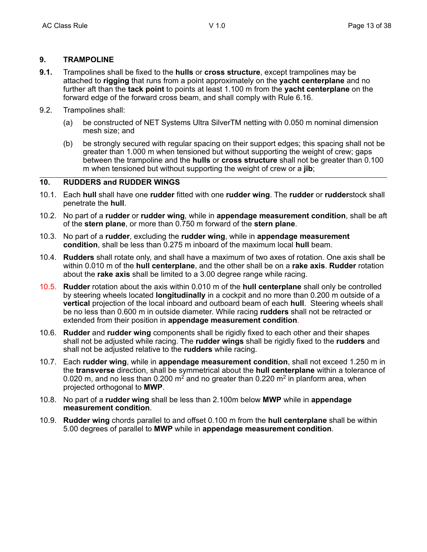## **9. TRAMPOLINE**

- **9.1.** Trampolines shall be fixed to the **hulls** or **cross structure**, except trampolines may be attached to **rigging** that runs from a point approximately on the **yacht centerplane** and no further aft than the **tack point** to points at least 1.100 m from the **yacht centerplane** on the forward edge of the forward cross beam, and shall comply with Rule 6.16.
- 9.2. Trampolines shall:
	- (a) be constructed of NET Systems Ultra SilverTM netting with 0.050 m nominal dimension mesh size; and
	- (b) be strongly secured with regular spacing on their support edges; this spacing shall not be greater than 1.000 m when tensioned but without supporting the weight of crew; gaps between the trampoline and the **hulls** or **cross structure** shall not be greater than 0.100 m when tensioned but without supporting the weight of crew or a **jib**;

# **10. RUDDERS and RUDDER WINGS**

- 10.1. Each **hull** shall have one **rudder** fitted with one **rudder wing**. The **rudder** or **rudder**stock shall penetrate the **hull**.
- 10.2. No part of a **rudder** or **rudder wing**, while in **appendage measurement condition**, shall be aft of the **stern plane**, or more than 0.750 m forward of the **stern plane**.
- 10.3. No part of a **rudder**, excluding the **rudder wing**, while in **appendage measurement condition**, shall be less than 0.275 m inboard of the maximum local **hull** beam.
- 10.4. **Rudders** shall rotate only, and shall have a maximum of two axes of rotation. One axis shall be within 0.010 m of the **hull centerplane**, and the other shall be on a **rake axis**. **Rudder** rotation about the **rake axis** shall be limited to a 3.00 degree range while racing.
- 10.5. **Rudder** rotation about the axis within 0.010 m of the **hull centerplane** shall only be controlled by steering wheels located **longitudinally** in a cockpit and no more than 0.200 m outside of a **vertical** projection of the local inboard and outboard beam of each **hull**. Steering wheels shall be no less than 0.600 m in outside diameter. While racing **rudders** shall not be retracted or extended from their position in **appendage measurement condition**.
- 10.6. **Rudder** and **rudder wing** components shall be rigidly fixed to each other and their shapes shall not be adjusted while racing. The **rudder wings** shall be rigidly fixed to the **rudders** and shall not be adjusted relative to the **rudders** while racing.
- 10.7. Each **rudder wing**, while in **appendage measurement condition**, shall not exceed 1.250 m in the **transverse** direction, shall be symmetrical about the **hull centerplane** within a tolerance of 0.020 m, and no less than 0.200 m<sup>2</sup> and no greater than 0.220 m<sup>2</sup> in planform area, when projected orthogonal to **MWP**.
- 10.8. No part of a **rudder wing** shall be less than 2.100m below **MWP** while in **appendage measurement condition**.
- 10.9. **Rudder wing** chords parallel to and offset 0.100 m from the **hull centerplane** shall be within 5.00 degrees of parallel to **MWP** while in **appendage measurement condition**.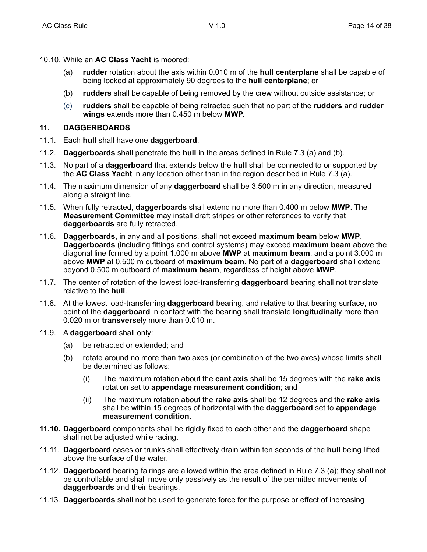- 10.10. While an **AC Class Yacht** is moored:
	- (a) **rudder** rotation about the axis within 0.010 m of the **hull centerplane** shall be capable of being locked at approximately 90 degrees to the **hull centerplane**; or
	- (b) **rudders** shall be capable of being removed by the crew without outside assistance; or
	- (c) **rudders** shall be capable of being retracted such that no part of the **rudders** and **rudder wings** extends more than 0.450 m below **MWP.**

# **11. DAGGERBOARDS**

- 11.1. Each **hull** shall have one **daggerboard**.
- 11.2. **Daggerboards** shall penetrate the **hull** in the areas defined in Rule 7.3 (a) and (b).
- 11.3. No part of a **daggerboard** that extends below the **hull** shall be connected to or supported by the **AC Class Yacht** in any location other than in the region described in Rule 7.3 (a).
- 11.4. The maximum dimension of any **daggerboard** shall be 3.500 m in any direction, measured along a straight line.
- 11.5. When fully retracted, **daggerboards** shall extend no more than 0.400 m below **MWP**. The **Measurement Committee** may install draft stripes or other references to verify that **daggerboards** are fully retracted.
- 11.6. **Daggerboards**, in any and all positions, shall not exceed **maximum beam** below **MWP**. **Daggerboards** (including fittings and control systems) may exceed **maximum beam** above the diagonal line formed by a point 1.000 m above **MWP** at **maximum beam**, and a point 3.000 m above **MWP** at 0.500 m outboard of **maximum beam**. No part of a **daggerboard** shall extend beyond 0.500 m outboard of **maximum beam**, regardless of height above **MWP**.
- 11.7. The center of rotation of the lowest load-transferring **daggerboard** bearing shall not translate relative to the **hull**.
- 11.8. At the lowest load-transferring **daggerboard** bearing, and relative to that bearing surface, no point of the **daggerboard** in contact with the bearing shall translate **longitudinal**ly more than 0.020 m or **transverse**ly more than 0.010 m.
- 11.9. A **daggerboard** shall only:
	- (a) be retracted or extended; and
	- (b) rotate around no more than two axes (or combination of the two axes) whose limits shall be determined as follows:
		- (i) The maximum rotation about the **cant axis** shall be 15 degrees with the **rake axis** rotation set to **appendage measurement condition**; and
		- (ii) The maximum rotation about the **rake axis** shall be 12 degrees and the **rake axis** shall be within 15 degrees of horizontal with the **daggerboard** set to **appendage measurement condition**.
- **11.10. Daggerboard** components shall be rigidly fixed to each other and the **daggerboard** shape shall not be adjusted while racing**.**
- 11.11. **Daggerboard** cases or trunks shall effectively drain within ten seconds of the **hull** being lifted above the surface of the water.
- 11.12. **Daggerboard** bearing fairings are allowed within the area defined in Rule 7.3 (a); they shall not be controllable and shall move only passively as the result of the permitted movements of **daggerboards** and their bearings.
- 11.13. **Daggerboards** shall not be used to generate force for the purpose or effect of increasing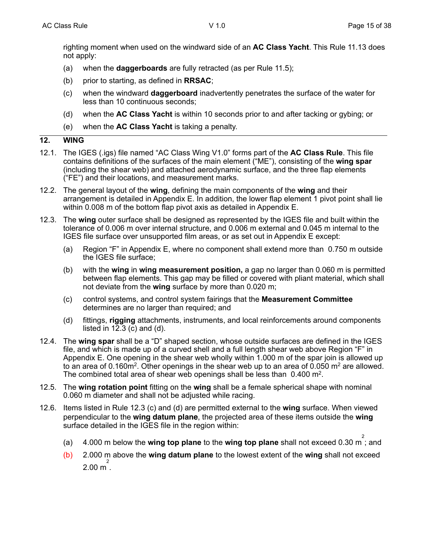righting moment when used on the windward side of an **AC Class Yacht**. This Rule 11.13 does not apply:

- (a) when the **daggerboards** are fully retracted (as per Rule 11.5);
- (b) prior to starting, as defined in **RRSAC**;
- (c) when the windward **daggerboard** inadvertently penetrates the surface of the water for less than 10 continuous seconds;
- (d) when the **AC Class Yacht** is within 10 seconds prior to and after tacking or gybing; or
- (e) when the **AC Class Yacht** is taking a penalty.

#### **12. WING**

- 12.1. The IGES (.igs) file named "AC Class Wing V1.0" forms part of the **AC Class Rule**. This file contains definitions of the surfaces of the main element ("ME"), consisting of the **wing spar** (including the shear web) and attached aerodynamic surface, and the three flap elements ("FE") and their locations, and measurement marks.
- 12.2. The general layout of the **wing**, defining the main components of the **wing** and their arrangement is detailed in Appendix E. In addition, the lower flap element 1 pivot point shall lie within 0.008 m of the bottom flap pivot axis as detailed in Appendix E.
- 12.3. The **wing** outer surface shall be designed as represented by the IGES file and built within the tolerance of 0.006 m over internal structure, and 0.006 m external and 0.045 m internal to the IGES file surface over unsupported film areas, or as set out in Appendix E except:
	- (a) Region "F" in Appendix E, where no component shall extend more than 0.750 m outside the IGES file surface;
	- (b) with the **wing** in **wing measurement position,** a gap no larger than 0.060 m is permitted between flap elements. This gap may be filled or covered with pliant material, which shall not deviate from the **wing** surface by more than 0.020 m;
	- (c) control systems, and control system fairings that the **Measurement Committee** determines are no larger than required; and
	- (d) fittings, **rigging** attachments, instruments, and local reinforcements around components listed in 12.3 (c) and  $(d)$ .
- 12.4. The **wing spar** shall be a "D" shaped section, whose outside surfaces are defined in the IGES file, and which is made up of a curved shell and a full length shear web above Region "F" in Appendix E. One opening in the shear web wholly within 1.000 m of the spar join is allowed up to an area of 0.160m<sup>2</sup>. Other openings in the shear web up to an area of 0.050 m<sup>2</sup> are allowed. The combined total area of shear web openings shall be less than 0.400 m<sup>2</sup>.
- 12.5. The **wing rotation point** fitting on the **wing** shall be a female spherical shape with nominal 0.060 m diameter and shall not be adjusted while racing.
- 12.6. Items listed in Rule 12.3 (c) and (d) are permitted external to the **wing** surface. When viewed perpendicular to the **wing datum plane**, the projected area of these items outside the **wing** surface detailed in the IGES file in the region within:
	- (a) 4.000 m below the **wing top plane** to the **wing top plane** shall not exceed 0.30 m 2 ; and
	- (b) 2.000 m above the **wing datum plane** to the lowest extent of the **wing** shall not exceed  $2.00 \text{ m}^2$ .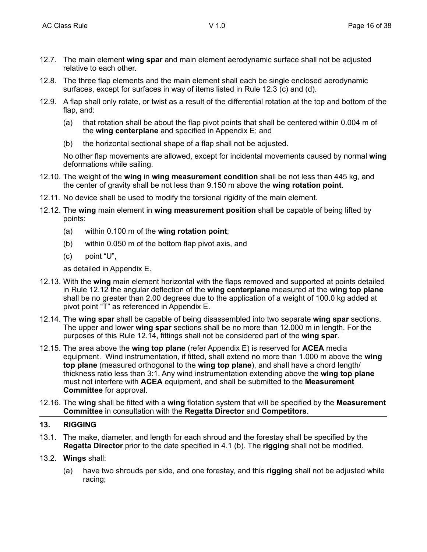- 12.7. The main element **wing spar** and main element aerodynamic surface shall not be adjusted relative to each other.
- 12.8. The three flap elements and the main element shall each be single enclosed aerodynamic surfaces, except for surfaces in way of items listed in Rule 12.3 (c) and (d).
- 12.9. A flap shall only rotate, or twist as a result of the differential rotation at the top and bottom of the flap, and:
	- (a) that rotation shall be about the flap pivot points that shall be centered within 0.004 m of the **wing centerplane** and specified in Appendix E; and
	- (b) the horizontal sectional shape of a flap shall not be adjusted.

No other flap movements are allowed, except for incidental movements caused by normal **wing** deformations while sailing.

- 12.10. The weight of the **wing** in **wing measurement condition** shall be not less than 445 kg, and the center of gravity shall be not less than 9.150 m above the **wing rotation point**.
- 12.11. No device shall be used to modify the torsional rigidity of the main element.
- 12.12. The **wing** main element in **wing measurement position** shall be capable of being lifted by points:
	- (a) within 0.100 m of the **wing rotation point**;
	- (b) within 0.050 m of the bottom flap pivot axis, and
	- (c) point "U",

as detailed in Appendix E.

- 12.13. With the **wing** main element horizontal with the flaps removed and supported at points detailed in Rule 12.12 the angular deflection of the **wing centerplane** measured at the **wing top plane** shall be no greater than 2.00 degrees due to the application of a weight of 100.0 kg added at pivot point "T" as referenced in Appendix E.
- 12.14. The **wing spar** shall be capable of being disassembled into two separate **wing spar** sections. The upper and lower **wing spar** sections shall be no more than 12.000 m in length. For the purposes of this Rule 12.14, fittings shall not be considered part of the **wing spar**.
- 12.15. The area above the **wing top plane** (refer Appendix E) is reserved for **ACEA** media equipment. Wind instrumentation, if fitted, shall extend no more than 1.000 m above the **wing top plane** (measured orthogonal to the **wing top plane**), and shall have a chord length/ thickness ratio less than 3:1. Any wind instrumentation extending above the **wing top plane** must not interfere with **ACEA** equipment, and shall be submitted to the **Measurement Committee** for approval.
- 12.16. The **wing** shall be fitted with a **wing** flotation system that will be specified by the **Measurement Committee** in consultation with the **Regatta Director** and **Competitors**.

#### **13. RIGGING**

- 13.1. The make, diameter, and length for each shroud and the forestay shall be specified by the **Regatta Director** prior to the date specified in 4.1 (b). The **rigging** shall not be modified.
- 13.2. **Wings** shall:
	- (a) have two shrouds per side, and one forestay, and this **rigging** shall not be adjusted while racing;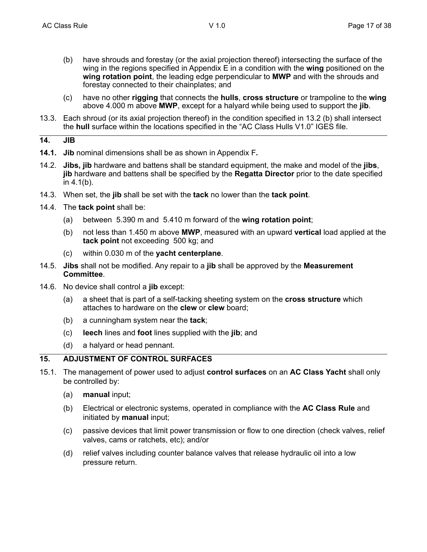- (b) have shrouds and forestay (or the axial projection thereof) intersecting the surface of the wing in the regions specified in Appendix E in a condition with the **wing** positioned on the **wing rotation point**, the leading edge perpendicular to **MWP** and with the shrouds and forestay connected to their chainplates; and
- (c) have no other **rigging** that connects the **hulls**, **cross structure** or trampoline to the **wing** above 4.000 m above **MWP**, except for a halyard while being used to support the **jib**.
- 13.3. Each shroud (or its axial projection thereof) in the condition specified in 13.2 (b) shall intersect the **hull** surface within the locations specified in the "AC Class Hulls V1.0" IGES file.

#### **14. JIB**

- **14.1. Jib** nominal dimensions shall be as shown in Appendix F**.**
- 14.2. **Jibs, jib** hardware and battens shall be standard equipment, the make and model of the **jibs**, **jib** hardware and battens shall be specified by the **Regatta Director** prior to the date specified in 4.1(b).
- 14.3. When set, the **jib** shall be set with the **tack** no lower than the **tack point**.
- 14.4. The **tack point** shall be:
	- (a) between 5.390 m and 5.410 m forward of the **wing rotation point**;
	- (b) not less than 1.450 m above **MWP**, measured with an upward **vertical** load applied at the **tack point** not exceeding 500 kg; and
	- (c) within 0.030 m of the **yacht centerplane**.
- 14.5. **Jibs** shall not be modified. Any repair to a **jib** shall be approved by the **Measurement Committee**.
- 14.6. No device shall control a **jib** except:
	- (a) a sheet that is part of a self-tacking sheeting system on the **cross structure** which attaches to hardware on the **clew** or **clew** board;
	- (b) a cunningham system near the **tack**;
	- (c) **leech** lines and **foot** lines supplied with the **jib**; and
	- (d) a halyard or head pennant.

## **15. ADJUSTMENT OF CONTROL SURFACES**

- 15.1. The management of power used to adjust **control surfaces** on an **AC Class Yacht** shall only be controlled by:
	- (a) **manual** input;
	- (b) Electrical or electronic systems, operated in compliance with the **AC Class Rule** and initiated by **manual** input;
	- (c) passive devices that limit power transmission or flow to one direction (check valves, relief valves, cams or ratchets, etc); and/or
	- (d) relief valves including counter balance valves that release hydraulic oil into a low pressure return.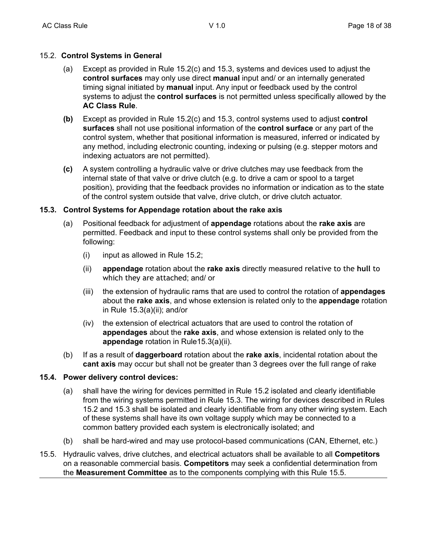## 15.2. **Control Systems in General**

- (a) Except as provided in Rule 15.2(c) and 15.3, systems and devices used to adjust the **control surfaces** may only use direct **manual** input and/ or an internally generated timing signal initiated by **manual** input. Any input or feedback used by the control systems to adjust the **control surfaces** is not permitted unless specifically allowed by the **AC Class Rule**.
- **(b)** Except as provided in Rule 15.2(c) and 15.3, control systems used to adjust **control surfaces** shall not use positional information of the **control surface** or any part of the control system, whether that positional information is measured, inferred or indicated by any method, including electronic counting, indexing or pulsing (e.g. stepper motors and indexing actuators are not permitted).
- **(c)** A system controlling a hydraulic valve or drive clutches may use feedback from the internal state of that valve or drive clutch (e.g. to drive a cam or spool to a target position), providing that the feedback provides no information or indication as to the state of the control system outside that valve, drive clutch, or drive clutch actuator.

## **15.3. Control Systems for Appendage rotation about the rake axis**

- (a) Positional feedback for adjustment of **appendage** rotations about the **rake axis** are permitted. Feedback and input to these control systems shall only be provided from the following:
	- (i) input as allowed in Rule 15.2;
	- (ii) **appendage** rotation about the **rake axis** directly measured relative to the **hull** to which they are attached; and/ or
	- (iii) the extension of hydraulic rams that are used to control the rotation of **appendages** about the **rake axis**, and whose extension is related only to the **appendage** rotation in Rule 15.3(a)(ii); and/or
	- (iv) the extension of electrical actuators that are used to control the rotation of **appendages** about the **rake axis**, and whose extension is related only to the **appendage** rotation in Rule15.3(a)(ii).
- (b) If as a result of **daggerboard** rotation about the **rake axis**, incidental rotation about the **cant axis** may occur but shall not be greater than 3 degrees over the full range of rake

## **15.4. Power delivery control devices:**

- (a) shall have the wiring for devices permitted in Rule 15.2 isolated and clearly identifiable from the wiring systems permitted in Rule 15.3. The wiring for devices described in Rules 15.2 and 15.3 shall be isolated and clearly identifiable from any other wiring system. Each of these systems shall have its own voltage supply which may be connected to a common battery provided each system is electronically isolated; and
- (b) shall be hard-wired and may use protocol-based communications (CAN, Ethernet, etc.)
- 15.5. Hydraulic valves, drive clutches, and electrical actuators shall be available to all **Competitors** on a reasonable commercial basis. **Competitors** may seek a confidential determination from the **Measurement Committee** as to the components complying with this Rule 15.5.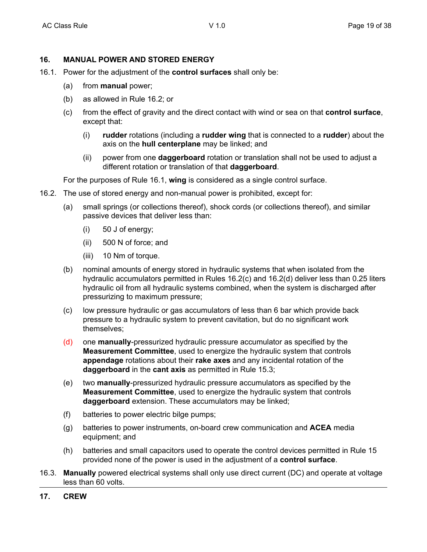#### **16. MANUAL POWER AND STORED ENERGY**

- 16.1. Power for the adjustment of the **control surfaces** shall only be:
	- (a) from **manual** power;
	- (b) as allowed in Rule 16.2; or
	- (c) from the effect of gravity and the direct contact with wind or sea on that **control surface**, except that:
		- (i) **rudder** rotations (including a **rudder wing** that is connected to a **rudder**) about the axis on the **hull centerplane** may be linked; and
		- (ii) power from one **daggerboard** rotation or translation shall not be used to adjust a different rotation or translation of that **daggerboard**.

For the purposes of Rule 16.1, **wing** is considered as a single control surface.

- 16.2. The use of stored energy and non-manual power is prohibited, except for:
	- (a) small springs (or collections thereof), shock cords (or collections thereof), and similar passive devices that deliver less than:
		- (i) 50 J of energy;
		- (ii) 500 N of force; and
		- (iii) 10 Nm of torque.
	- (b) nominal amounts of energy stored in hydraulic systems that when isolated from the hydraulic accumulators permitted in Rules 16.2(c) and 16.2(d) deliver less than 0.25 liters hydraulic oil from all hydraulic systems combined, when the system is discharged after pressurizing to maximum pressure;
	- (c) low pressure hydraulic or gas accumulators of less than 6 bar which provide back pressure to a hydraulic system to prevent cavitation, but do no significant work themselves;
	- (d) one **manually**-pressurized hydraulic pressure accumulator as specified by the **Measurement Committee**, used to energize the hydraulic system that controls **appendage** rotations about their **rake axes** and any incidental rotation of the **daggerboard** in the **cant axis** as permitted in Rule 15.3;
	- (e) two **manually**-pressurized hydraulic pressure accumulators as specified by the **Measurement Committee**, used to energize the hydraulic system that controls **daggerboard** extension. These accumulators may be linked;
	- (f) batteries to power electric bilge pumps;
	- (g) batteries to power instruments, on-board crew communication and **ACEA** media equipment; and
	- (h) batteries and small capacitors used to operate the control devices permitted in Rule 15 provided none of the power is used in the adjustment of a **control surface**.
- 16.3. **Manually** powered electrical systems shall only use direct current (DC) and operate at voltage less than 60 volts.
- **17. CREW**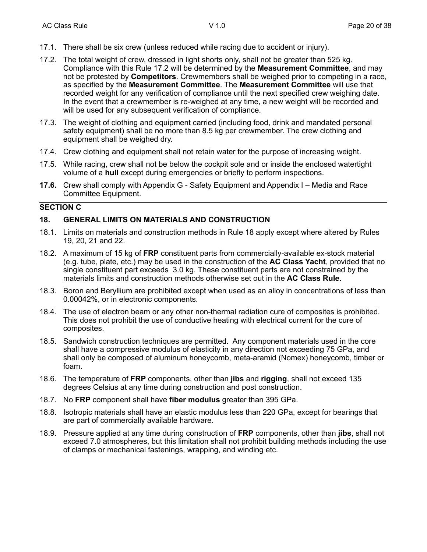- 17.1. There shall be six crew (unless reduced while racing due to accident or injury).
- 17.2. The total weight of crew, dressed in light shorts only, shall not be greater than 525 kg. Compliance with this Rule 17.2 will be determined by the **Measurement Committee**, and may not be protested by **Competitors**. Crewmembers shall be weighed prior to competing in a race, as specified by the **Measurement Committee**. The **Measurement Committee** will use that recorded weight for any verification of compliance until the next specified crew weighing date. In the event that a crewmember is re-weighed at any time, a new weight will be recorded and will be used for any subsequent verification of compliance.
- 17.3. The weight of clothing and equipment carried (including food, drink and mandated personal safety equipment) shall be no more than 8.5 kg per crewmember. The crew clothing and equipment shall be weighed dry.
- 17.4. Crew clothing and equipment shall not retain water for the purpose of increasing weight.
- 17.5. While racing, crew shall not be below the cockpit sole and or inside the enclosed watertight volume of a **hull** except during emergencies or briefly to perform inspections.
- **17.6.** Crew shall comply with Appendix G Safety Equipment and Appendix I Media and Race Committee Equipment.

#### **SECTION C**

## **18. GENERAL LIMITS ON MATERIALS AND CONSTRUCTION**

- 18.1. Limits on materials and construction methods in Rule 18 apply except where altered by Rules 19, 20, 21 and 22.
- 18.2. A maximum of 15 kg of **FRP** constituent parts from commercially-available ex-stock material (e.g. tube, plate, etc.) may be used in the construction of the **AC Class Yacht**, provided that no single constituent part exceeds 3.0 kg. These constituent parts are not constrained by the materials limits and construction methods otherwise set out in the **AC Class Rule**.
- 18.3. Boron and Beryllium are prohibited except when used as an alloy in concentrations of less than 0.00042%, or in electronic components.
- 18.4. The use of electron beam or any other non-thermal radiation cure of composites is prohibited. This does not prohibit the use of conductive heating with electrical current for the cure of composites.
- 18.5. Sandwich construction techniques are permitted. Any component materials used in the core shall have a compressive modulus of elasticity in any direction not exceeding 75 GPa, and shall only be composed of aluminum honeycomb, meta-aramid (Nomex) honeycomb, timber or foam.
- 18.6. The temperature of **FRP** components, other than **jibs** and **rigging**, shall not exceed 135 degrees Celsius at any time during construction and post construction.
- 18.7. No **FRP** component shall have **fiber modulus** greater than 395 GPa.
- 18.8. Isotropic materials shall have an elastic modulus less than 220 GPa, except for bearings that are part of commercially available hardware.
- 18.9. Pressure applied at any time during construction of **FRP** components, other than **jibs**, shall not exceed 7.0 atmospheres, but this limitation shall not prohibit building methods including the use of clamps or mechanical fastenings, wrapping, and winding etc.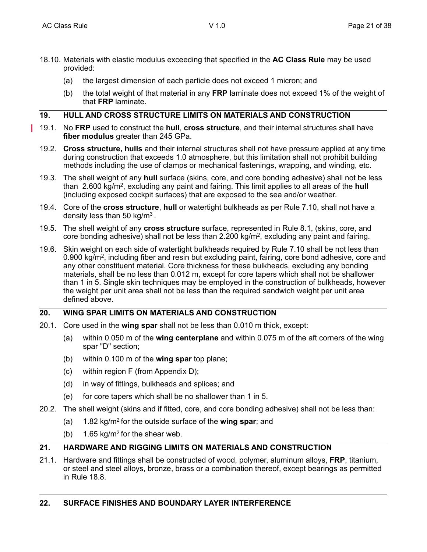- 18.10. Materials with elastic modulus exceeding that specified in the **AC Class Rule** may be used provided:
	- (a) the largest dimension of each particle does not exceed 1 micron; and
	- (b) the total weight of that material in any **FRP** laminate does not exceed 1% of the weight of that **FRP** laminate.

## **19. HULL AND CROSS STRUCTURE LIMITS ON MATERIALS AND CONSTRUCTION**

- 19.1. No **FRP** used to construct the **hull**, **cross structure**, and their internal structures shall have **fiber modulus** greater than 245 GPa.
- 19.2. **Cross structure, hulls** and their internal structures shall not have pressure applied at any time during construction that exceeds 1.0 atmosphere, but this limitation shall not prohibit building methods including the use of clamps or mechanical fastenings, wrapping, and winding, etc.
- 19.3. The shell weight of any **hull** surface (skins, core, and core bonding adhesive) shall not be less than 2.600 kg/m2, excluding any paint and fairing. This limit applies to all areas of the **hull** (including exposed cockpit surfaces) that are exposed to the sea and/or weather.
- 19.4. Core of the **cross structure**, **hull** or watertight bulkheads as per Rule 7.10, shall not have a density less than 50 kg/m3 .
- 19.5. The shell weight of any **cross structure** surface, represented in Rule 8.1, (skins, core, and core bonding adhesive) shall not be less than  $2.200 \text{ kg/m}^2$ , excluding any paint and fairing.
- 19.6. Skin weight on each side of watertight bulkheads required by Rule 7.10 shall be not less than 0.900 kg/m<sup>2</sup>, including fiber and resin but excluding paint, fairing, core bond adhesive, core and any other constituent material. Core thickness for these bulkheads, excluding any bonding materials, shall be no less than 0.012 m, except for core tapers which shall not be shallower than 1 in 5. Single skin techniques may be employed in the construction of bulkheads, however the weight per unit area shall not be less than the required sandwich weight per unit area defined above.

# **20. WING SPAR LIMITS ON MATERIALS AND CONSTRUCTION**

- 20.1. Core used in the **wing spar** shall not be less than 0.010 m thick, except:
	- (a) within 0.050 m of the **wing centerplane** and within 0.075 m of the aft corners of the wing spar "D" section;
	- (b) within 0.100 m of the **wing spar** top plane;
	- (c) within region F (from Appendix D);
	- (d) in way of fittings, bulkheads and splices; and
	- (e) for core tapers which shall be no shallower than 1 in 5.
- 20.2. The shell weight (skins and if fitted, core, and core bonding adhesive) shall not be less than:
	- (a) 1.82 kg/m2 for the outside surface of the **wing spar**; and
	- (b) 1.65 kg/m<sup>2</sup> for the shear web.

#### **21. HARDWARE AND RIGGING LIMITS ON MATERIALS AND CONSTRUCTION**

21.1. Hardware and fittings shall be constructed of wood, polymer, aluminum alloys, **FRP**, titanium, or steel and steel alloys, bronze, brass or a combination thereof, except bearings as permitted in Rule 18.8.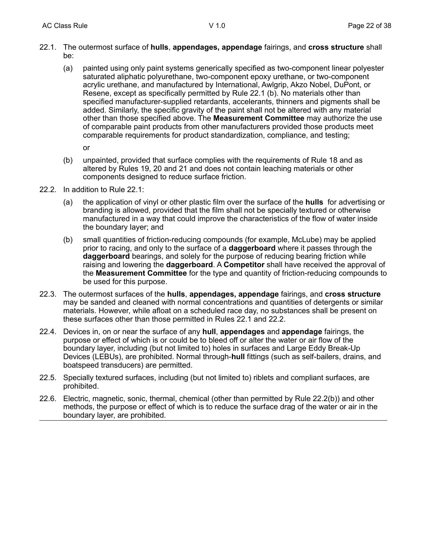- 22.1. The outermost surface of **hulls**, **appendages, appendage** fairings, and **cross structure** shall be:
	- (a) painted using only paint systems generically specified as two-component linear polyester saturated aliphatic polyurethane, two-component epoxy urethane, or two-component acrylic urethane, and manufactured by International, Awlgrip, Akzo Nobel, DuPont, or Resene, except as specifically permitted by Rule 22.1 (b). No materials other than specified manufacturer-supplied retardants, accelerants, thinners and pigments shall be added. Similarly, the specific gravity of the paint shall not be altered with any material other than those specified above. The **Measurement Committee** may authorize the use of comparable paint products from other manufacturers provided those products meet comparable requirements for product standardization, compliance, and testing;

or

- (b) unpainted, provided that surface complies with the requirements of Rule 18 and as altered by Rules 19, 20 and 21 and does not contain leaching materials or other components designed to reduce surface friction.
- 22.2. In addition to Rule 22.1:
	- (a) the application of vinyl or other plastic film over the surface of the **hulls** for advertising or branding is allowed, provided that the film shall not be specially textured or otherwise manufactured in a way that could improve the characteristics of the flow of water inside the boundary layer; and
	- (b) small quantities of friction-reducing compounds (for example, McLube) may be applied prior to racing, and only to the surface of a **daggerboard** where it passes through the **daggerboard** bearings, and solely for the purpose of reducing bearing friction while raising and lowering the **daggerboard**. A **Competitor** shall have received the approval of the **Measurement Committee** for the type and quantity of friction-reducing compounds to be used for this purpose.
- 22.3. The outermost surfaces of the **hulls**, **appendages, appendage** fairings, and **cross structure** may be sanded and cleaned with normal concentrations and quantities of detergents or similar materials. However, while afloat on a scheduled race day, no substances shall be present on these surfaces other than those permitted in Rules 22.1 and 22.2.
- 22.4. Devices in, on or near the surface of any **hull**, **appendages** and **appendage** fairings, the purpose or effect of which is or could be to bleed off or alter the water or air flow of the boundary layer, including (but not limited to) holes in surfaces and Large Eddy Break-Up Devices (LEBUs), are prohibited. Normal through-**hull** fittings (such as self-bailers, drains, and boatspeed transducers) are permitted.
- 22.5. Specially textured surfaces, including (but not limited to) riblets and compliant surfaces, are prohibited.
- 22.6. Electric, magnetic, sonic, thermal, chemical (other than permitted by Rule 22.2(b)) and other methods, the purpose or effect of which is to reduce the surface drag of the water or air in the boundary layer, are prohibited.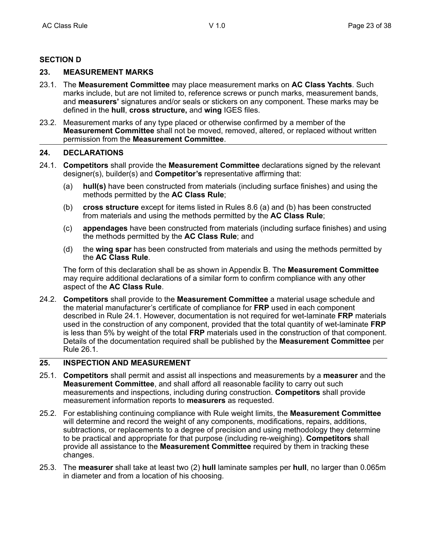# **SECTION D**

## **23. MEASUREMENT MARKS**

- 23.1. The **Measurement Committee** may place measurement marks on **AC Class Yachts**. Such marks include, but are not limited to, reference screws or punch marks, measurement bands, and **measurers'** signatures and/or seals or stickers on any component. These marks may be defined in the **hull**, **cross structure,** and **wing** IGES files.
- 23.2. Measurement marks of any type placed or otherwise confirmed by a member of the **Measurement Committee** shall not be moved, removed, altered, or replaced without written permission from the **Measurement Committee**.

#### **24. DECLARATIONS**

- 24.1. **Competitors** shall provide the **Measurement Committee** declarations signed by the relevant designer(s), builder(s) and **Competitor's** representative affirming that:
	- (a) **hull(s)** have been constructed from materials (including surface finishes) and using the methods permitted by the **AC Class Rule**;
	- (b) **cross structure** except for items listed in Rules 8.6 (a) and (b) has been constructed from materials and using the methods permitted by the **AC Class Rule**;
	- (c) **appendages** have been constructed from materials (including surface finishes) and using the methods permitted by the **AC Class Rule**; and
	- (d) the **wing spar** has been constructed from materials and using the methods permitted by the **AC Class Rule**.

The form of this declaration shall be as shown in Appendix B. The **Measurement Committee** may require additional declarations of a similar form to confirm compliance with any other aspect of the **AC Class Rule**.

24.2. **Competitors** shall provide to the **Measurement Committee** a material usage schedule and the material manufacturer's certificate of compliance for **FRP** used in each component described in Rule 24.1. However, documentation is not required for wet-laminate **FRP** materials used in the construction of any component, provided that the total quantity of wet-laminate **FRP** is less than 5% by weight of the total **FRP** materials used in the construction of that component. Details of the documentation required shall be published by the **Measurement Committee** per Rule 26.1.

## **25. INSPECTION AND MEASUREMENT**

- 25.1. **Competitors** shall permit and assist all inspections and measurements by a **measurer** and the **Measurement Committee**, and shall afford all reasonable facility to carry out such measurements and inspections, including during construction. **Competitors** shall provide measurement information reports to **measurers** as requested.
- 25.2. For establishing continuing compliance with Rule weight limits, the **Measurement Committee** will determine and record the weight of any components, modifications, repairs, additions, subtractions, or replacements to a degree of precision and using methodology they determine to be practical and appropriate for that purpose (including re-weighing). **Competitors** shall provide all assistance to the **Measurement Committee** required by them in tracking these changes.
- 25.3. The **measurer** shall take at least two (2) **hull** laminate samples per **hull**, no larger than 0.065m in diameter and from a location of his choosing.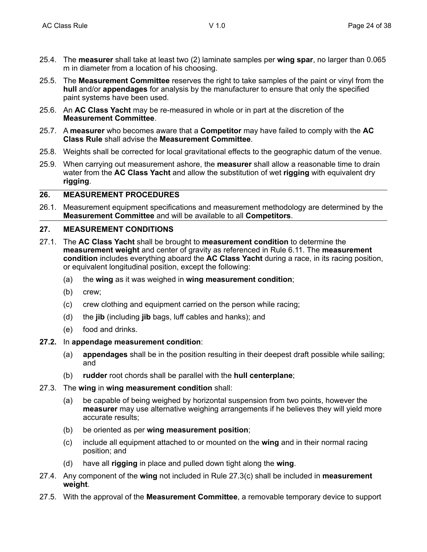- 25.4. The **measurer** shall take at least two (2) laminate samples per **wing spar**, no larger than 0.065 m in diameter from a location of his choosing.
- 25.5. The **Measurement Committee** reserves the right to take samples of the paint or vinyl from the **hull** and/or **appendages** for analysis by the manufacturer to ensure that only the specified paint systems have been used.
- 25.6. An **AC Class Yacht** may be re-measured in whole or in part at the discretion of the **Measurement Committee**.
- 25.7. A **measurer** who becomes aware that a **Competitor** may have failed to comply with the **AC Class Rule** shall advise the **Measurement Committee**.
- 25.8. Weights shall be corrected for local gravitational effects to the geographic datum of the venue.
- 25.9. When carrying out measurement ashore, the **measurer** shall allow a reasonable time to drain water from the **AC Class Yacht** and allow the substitution of wet **rigging** with equivalent dry **rigging**.

## **26. MEASUREMENT PROCEDURES**

26.1. Measurement equipment specifications and measurement methodology are determined by the **Measurement Committee** and will be available to all **Competitors**.

#### **27. MEASUREMENT CONDITIONS**

- 27.1. The **AC Class Yacht** shall be brought to **measurement condition** to determine the **measurement weight** and center of gravity as referenced in Rule 6.11. The **measurement condition** includes everything aboard the **AC Class Yacht** during a race, in its racing position, or equivalent longitudinal position, except the following:
	- (a) the **wing** as it was weighed in **wing measurement condition**;
	- (b) crew;
	- (c) crew clothing and equipment carried on the person while racing;
	- (d) the **jib** (including **jib** bags, luff cables and hanks); and
	- (e) food and drinks.

#### **27.2.** In **appendage measurement condition**:

- (a) **appendages** shall be in the position resulting in their deepest draft possible while sailing; and
- (b) **rudder** root chords shall be parallel with the **hull centerplane**;
- 27.3. The **wing** in **wing measurement condition** shall:
	- (a) be capable of being weighed by horizontal suspension from two points, however the **measurer** may use alternative weighing arrangements if he believes they will yield more accurate results;
	- (b) be oriented as per **wing measurement position**;
	- (c) include all equipment attached to or mounted on the **wing** and in their normal racing position; and
	- (d) have all **rigging** in place and pulled down tight along the **wing**.
- 27.4. Any component of the **wing** not included in Rule 27.3(c) shall be included in **measurement weight**.
- 27.5. With the approval of the **Measurement Committee**, a removable temporary device to support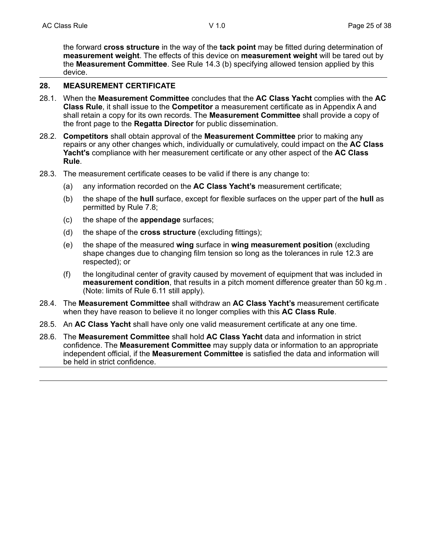the forward **cross structure** in the way of the **tack point** may be fitted during determination of **measurement weight**. The effects of this device on **measurement weight** will be tared out by the **Measurement Committee**. See Rule 14.3 (b) specifying allowed tension applied by this device.

#### **28. MEASUREMENT CERTIFICATE**

- 28.1. When the **Measurement Committee** concludes that the **AC Class Yacht** complies with the **AC Class Rule**, it shall issue to the **Competitor** a measurement certificate as in Appendix A and shall retain a copy for its own records. The **Measurement Committee** shall provide a copy of the front page to the **Regatta Director** for public dissemination.
- 28.2. **Competitors** shall obtain approval of the **Measurement Committee** prior to making any repairs or any other changes which, individually or cumulatively, could impact on the **AC Class Yacht's** compliance with her measurement certificate or any other aspect of the **AC Class Rule**.
- 28.3. The measurement certificate ceases to be valid if there is any change to:
	- (a) any information recorded on the **AC Class Yacht's** measurement certificate;
	- (b) the shape of the **hull** surface, except for flexible surfaces on the upper part of the **hull** as permitted by Rule 7.8;
	- (c) the shape of the **appendage** surfaces;
	- (d) the shape of the **cross structure** (excluding fittings);
	- (e) the shape of the measured **wing** surface in **wing measurement position** (excluding shape changes due to changing film tension so long as the tolerances in rule 12.3 are respected); or
	- (f) the longitudinal center of gravity caused by movement of equipment that was included in **measurement condition**, that results in a pitch moment difference greater than 50 kg.m . (Note: limits of Rule 6.11 still apply).
- 28.4. The **Measurement Committee** shall withdraw an **AC Class Yacht's** measurement certificate when they have reason to believe it no longer complies with this **AC Class Rule**.
- 28.5. An **AC Class Yacht** shall have only one valid measurement certificate at any one time.
- 28.6. The **Measurement Committee** shall hold **AC Class Yacht** data and information in strict confidence. The **Measurement Committee** may supply data or information to an appropriate independent official, if the **Measurement Committee** is satisfied the data and information will be held in strict confidence.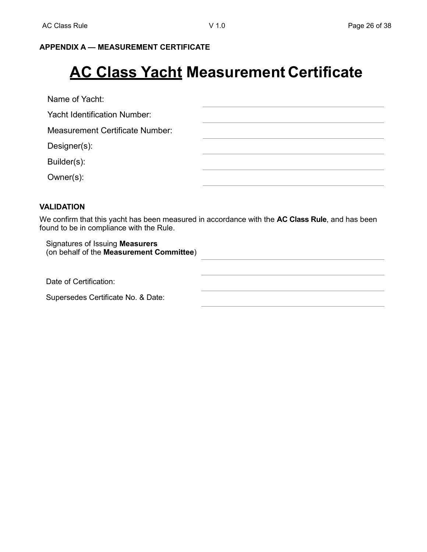# **APPENDIX A — MEASUREMENT CERTIFICATE**

# **AC Class Yacht Measurement Certificate**

Name of Yacht:

Yacht Identification Number:

Measurement Certificate Number:

Designer(s):

Builder(s):

Owner(s):

# **VALIDATION**

We confirm that this yacht has been measured in accordance with the **AC Class Rule**, and has been found to be in compliance with the Rule.

Signatures of Issuing **Measurers** (on behalf of the **Measurement Committee**) Date of Certification: Supersedes Certificate No. & Date: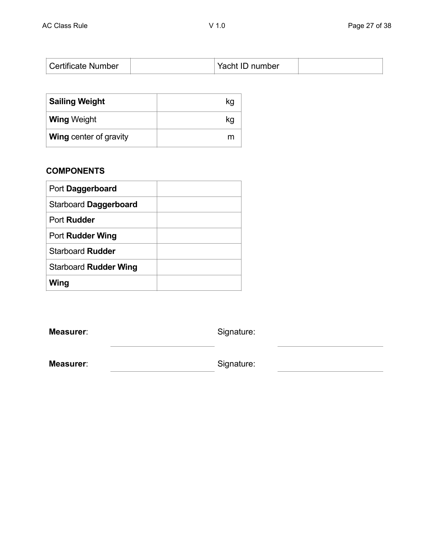| <b>Sailing Weight</b>         | kg |
|-------------------------------|----|
| <b>Wing Weight</b>            | kg |
| <b>Wing center of gravity</b> |    |

# **COMPONENTS**

| Port Daggerboard             |  |
|------------------------------|--|
| Starboard Daggerboard        |  |
| Port <b>Rudder</b>           |  |
| Port Rudder Wing             |  |
| Starboard Rudder             |  |
| <b>Starboard Rudder Wing</b> |  |
| Wing                         |  |

**Measurer:** Signature:

Measurer: Signature: Signature: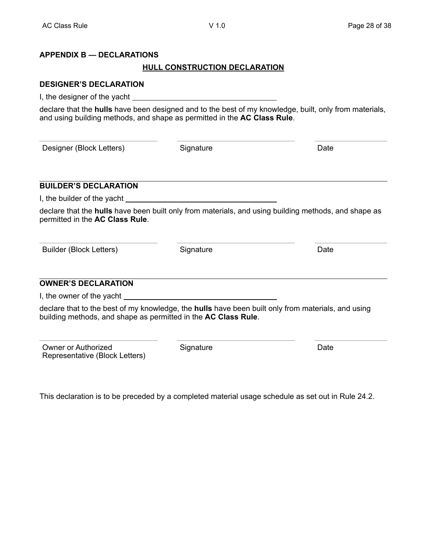## **APPENDIX B — DECLARATIONS**

#### **HULL CONSTRUCTION DECLARATION**

#### **DESIGNER'S DECLARATION**

I, the designer of the yacht

declare that the **hulls** have been designed and to the best of my knowledge, built, only from materials, and using building methods, and shape as permitted in the **AC Class Rule**.

Designer (Block Letters) Signature Constantine Date Date

**BUILDER'S DECLARATION**

permitted in the **AC Class Rule**.

I, the builder of the yacht

Builder (Block Letters) Signature **State State Controllery** Date

declare that the **hulls** have been built only from materials, and using building methods, and shape as

#### **OWNER'S DECLARATION**

I, the owner of the yacht

declare that to the best of my knowledge, the **hulls** have been built only from materials, and using building methods, and shape as permitted in the **AC Class Rule**.

Owner or Authorized Representative (Block Letters) Signature Date

This declaration is to be preceded by a completed material usage schedule as set out in Rule 24.2.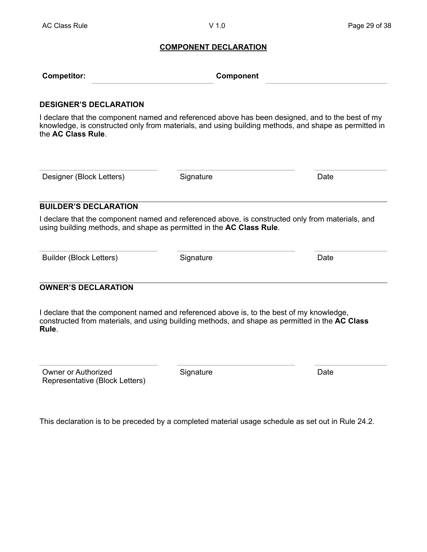#### **COMPONENT DECLARATION**

| <b>Competitor:</b> | Component |
|--------------------|-----------|
|                    |           |

#### **DESIGNER'S DECLARATION**

I declare that the component named and referenced above has been designed, and to the best of my knowledge, is constructed only from materials, and using building methods, and shape as permitted in the **AC Class Rule**.

Designer (Block Letters) Signature Signature Date

#### **BUILDER'S DECLARATION**

I declare that the component named and referenced above, is constructed only from materials, and using building methods, and shape as permitted in the **AC Class Rule**.

Builder (Block Letters) Signature Signature Date

## **OWNER'S DECLARATION**

I declare that the component named and referenced above is, to the best of my knowledge, constructed from materials, and using building methods, and shape as permitted in the **AC Class Rule**.

| Owner or Authorized            |  |  |  |
|--------------------------------|--|--|--|
| Representative (Block Letters) |  |  |  |

Signature Date

This declaration is to be preceded by a completed material usage schedule as set out in Rule 24.2.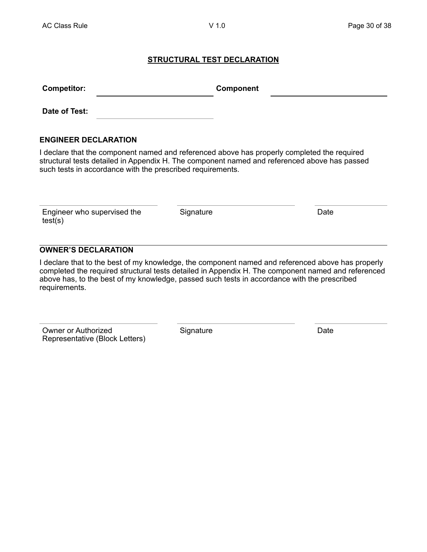## **STRUCTURAL TEST DECLARATION**

| <b>Competitor:</b> | Component |  |
|--------------------|-----------|--|
| Date of Test:      |           |  |

#### **ENGINEER DECLARATION**

I declare that the component named and referenced above has properly completed the required structural tests detailed in Appendix H. The component named and referenced above has passed such tests in accordance with the prescribed requirements.

| Engineer who supervised the |
|-----------------------------|
| test(s)                     |

Signature Date

# **OWNER'S DECLARATION**

I declare that to the best of my knowledge, the component named and referenced above has properly completed the required structural tests detailed in Appendix H. The component named and referenced above has, to the best of my knowledge, passed such tests in accordance with the prescribed requirements.

Owner or Authorized Representative (Block Letters) Signature Date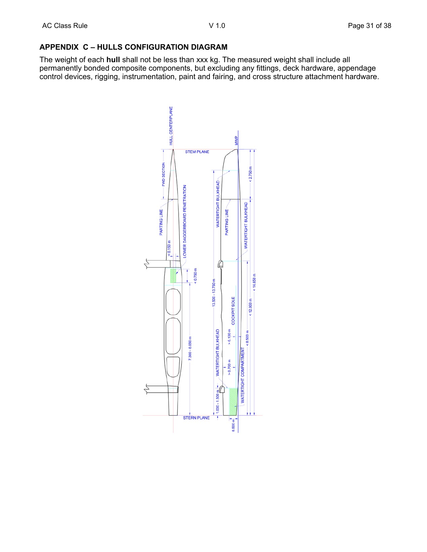# **APPENDIX C – HULLS CONFIGURATION DIAGRAM**

The weight of each **hull** shall not be less than xxx kg. The measured weight shall include all permanently bonded composite components, but excluding any fittings, deck hardware, appendage control devices, rigging, instrumentation, paint and fairing, and cross structure attachment hardware.

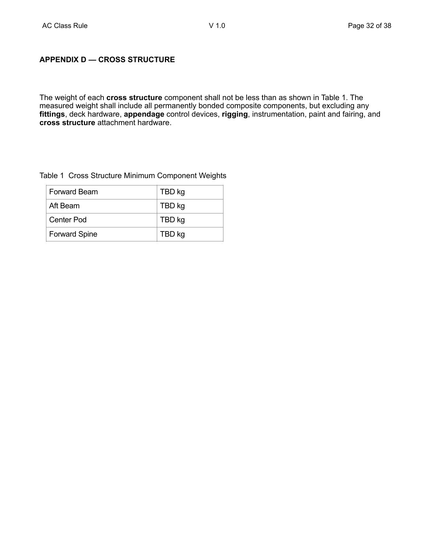## **APPENDIX D — CROSS STRUCTURE**

The weight of each **cross structure** component shall not be less than as shown in Table 1. The measured weight shall include all permanently bonded composite components, but excluding any **fittings**, deck hardware, **appendage** control devices, **rigging**, instrumentation, paint and fairing, and **cross structure** attachment hardware.

#### Table 1 Cross Structure Minimum Component Weights

| <b>Forward Beam</b>  | TBD kg |
|----------------------|--------|
| Aft Beam             | TBD kg |
| Center Pod           | TBD kg |
| <b>Forward Spine</b> | TBD kg |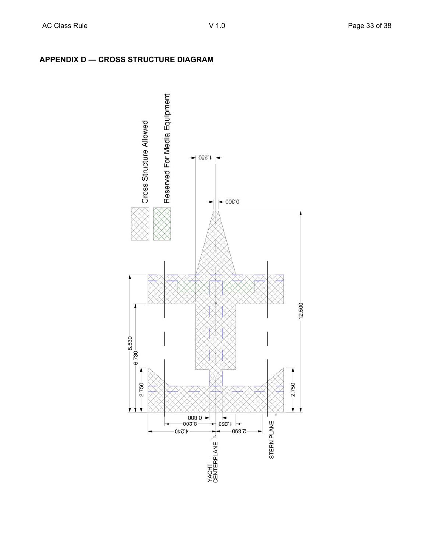

# **APPENDIX D — CROSS STRUCTURE DIAGRAM**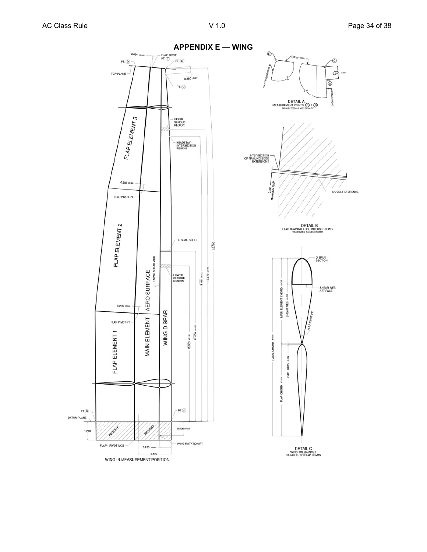Ġ.

 $635$ 

MODEL REFERENCE

۲à

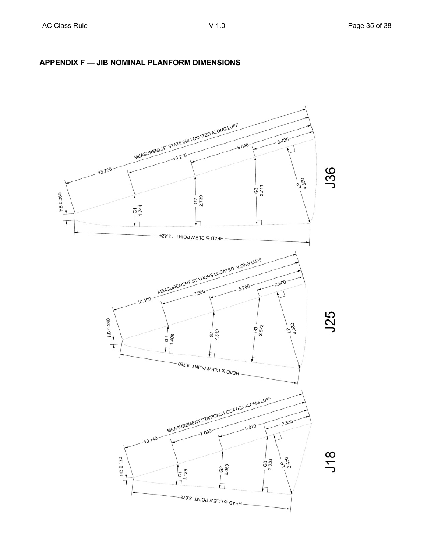

# **APPENDIX F — JIB NOMINAL PLANFORM DIMENSIONS**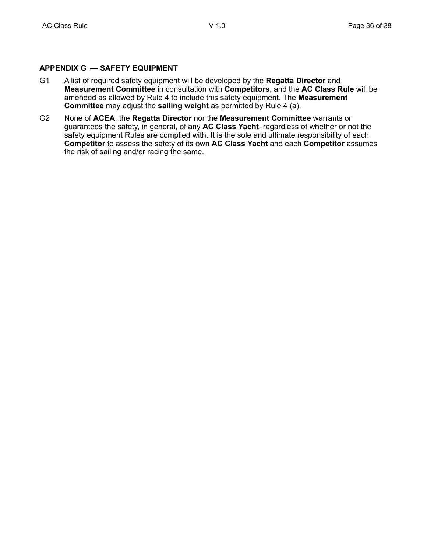#### **APPENDIX G — SAFETY EQUIPMENT**

- G1 A list of required safety equipment will be developed by the **Regatta Director** and **Measurement Committee** in consultation with **Competitors**, and the **AC Class Rule** will be amended as allowed by Rule 4 to include this safety equipment. The **Measurement Committee** may adjust the **sailing weight** as permitted by Rule 4 (a).
- G2 None of **ACEA**, the **Regatta Director** nor the **Measurement Committee** warrants or guarantees the safety, in general, of any **AC Class Yacht**, regardless of whether or not the safety equipment Rules are complied with. It is the sole and ultimate responsibility of each **Competitor** to assess the safety of its own **AC Class Yacht** and each **Competitor** assumes the risk of sailing and/or racing the same.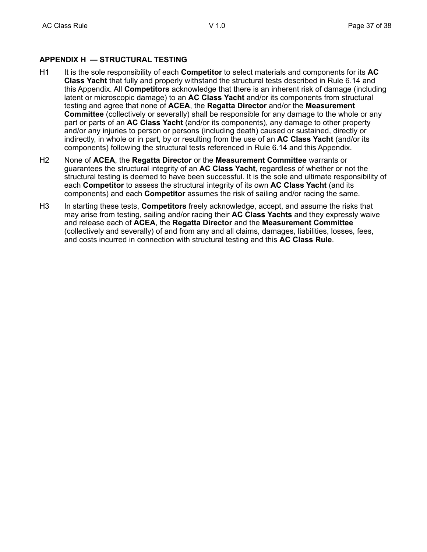# **APPENDIX H — STRUCTURAL TESTING**

- H1 It is the sole responsibility of each **Competitor** to select materials and components for its **AC Class Yacht** that fully and properly withstand the structural tests described in Rule 6.14 and this Appendix. All **Competitors** acknowledge that there is an inherent risk of damage (including latent or microscopic damage) to an **AC Class Yacht** and/or its components from structural testing and agree that none of **ACEA**, the **Regatta Director** and/or the **Measurement Committee** (collectively or severally) shall be responsible for any damage to the whole or any part or parts of an **AC Class Yacht** (and/or its components), any damage to other property and/or any injuries to person or persons (including death) caused or sustained, directly or indirectly, in whole or in part, by or resulting from the use of an **AC Class Yacht** (and/or its components) following the structural tests referenced in Rule 6.14 and this Appendix.
- H2 None of **ACEA**, the **Regatta Director** or the **Measurement Committee** warrants or guarantees the structural integrity of an **AC Class Yacht**, regardless of whether or not the structural testing is deemed to have been successful. It is the sole and ultimate responsibility of each **Competitor** to assess the structural integrity of its own **AC Class Yacht** (and its components) and each **Competitor** assumes the risk of sailing and/or racing the same.
- H3 In starting these tests, **Competitors** freely acknowledge, accept, and assume the risks that may arise from testing, sailing and/or racing their **AC Class Yachts** and they expressly waive and release each of **ACEA**, the **Regatta Director** and the **Measurement Committee** (collectively and severally) of and from any and all claims, damages, liabilities, losses, fees, and costs incurred in connection with structural testing and this **AC Class Rule**.